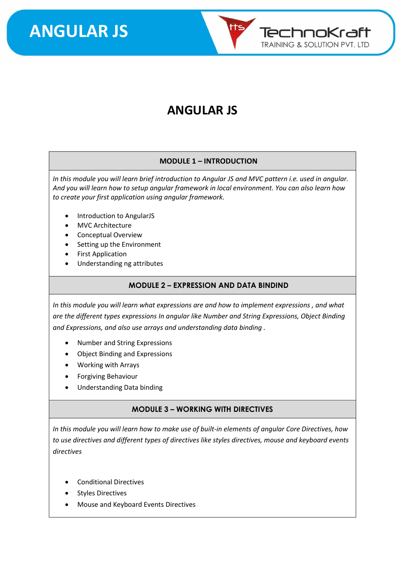

### **ANGULAR JS**

#### **MODULE 1 – INTRODUCTION**

*In this module you will learn brief introduction to Angular JS and MVC pattern i.e. used in angular. And you will learn how to setup angular framework in local environment. You can also learn how to create your first application using angular framework.*

- Introduction to AngularJS
- MVC Architecture
- Conceptual Overview
- Setting up the Environment
- First Application
- Understanding ng attributes

#### **MODULE 2 – EXPRESSION AND DATA BINDIND**

*In this module you will learn what expressions are and how to implement expressions , and what are the different types expressions In angular like Number and String Expressions, Object Binding and Expressions, and also use arrays and understanding data binding .*

- Number and String Expressions
- Object Binding and Expressions
- Working with Arrays
- Forgiving Behaviour
- Understanding Data binding

#### **MODULE 3 – WORKING WITH DIRECTIVES**

*In this module you will learn how to make use of built-in elements of angular Core Directives, how to use directives and different types of directives like styles directives, mouse and keyboard events directives*

- Conditional Directives
- **Styles Directives**
- Mouse and Keyboard Events Directives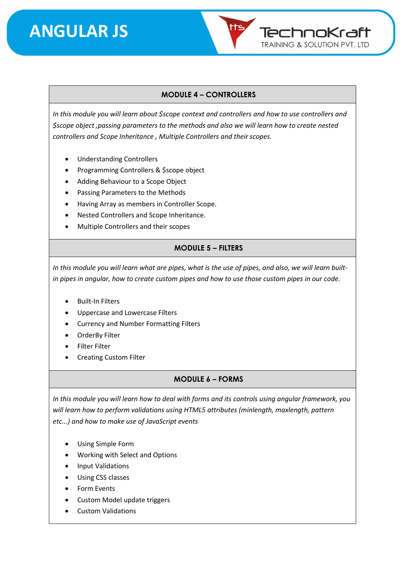

#### **MODULE 4 – CONTROLLERS**

*In this module you will learn about \$scope context and controllers and how to use controllers and \$scope object ,passing parameters to the methods and also we will learn how to create nested controllers and Scope Inheritance , Multiple Controllers and their scopes.*

- Understanding Controllers
- Programming Controllers & \$scope object
- Adding Behaviour to a Scope Object
- Passing Parameters to the Methods
- Having Array as members in Controller Scope.
- Nested Controllers and Scope Inheritance.
- Multiple Controllers and their scopes

#### **MODULE 5 – FILTERS**

*In this module you will learn what are pipes, what is the use of pipes, and also, we will learn builtin pipes in angular, how to create custom pipes and how to use those custom pipes in our code.*

- Built-In Filters
- Uppercase and Lowercase Filters
- Currency and Number Formatting Filters
- OrderBy Filter
- Filter Filter
- Creating Custom Filter

#### **MODULE 6 – FORMS**

*In this module you will learn how to deal with forms and its controls using angular framework, you will learn how to perform validations using HTML5 attributes (minlength, maxlength, pattern etc...) and how to make use of JavaScript events*

- Using Simple Form
- Working with Select and Options
- Input Validations
- Using CSS classes
- Form Events
- Custom Model update triggers
- Custom Validations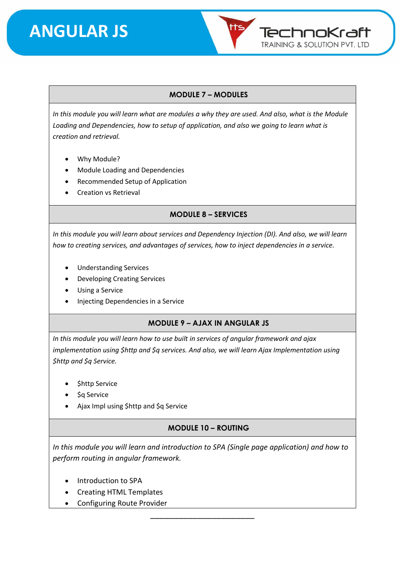

#### **MODULE 7 – MODULES**

*In this module you will learn what are modules a why they are used. And also, what is the Module Loading and Dependencies, how to setup of application, and also we going to learn what is creation and retrieval.*

- Why Module?
- Module Loading and Dependencies
- Recommended Setup of Application
- Creation vs Retrieval

**MODULE 8 – SERVICES** 

*In this module you will learn about services and Dependency Injection (DI). And also, we will learn how to creating services, and advantages of services, how to inject dependencies in a service.* 

- Understanding Services
- Developing Creating Services
- Using a Service
- Injecting Dependencies in a Service

#### **MODULE 9 – AJAX IN ANGULAR JS**

*In this module you will learn how to use built in services of angular framework and ajax implementation using \$http and \$q services. And also, we will learn Ajax Implementation using \$http and \$q Service.*

- \$http Service
- \$q Service
- Ajax Impl using \$http and \$q Service

#### **MODULE 10 – ROUTING**

*In this module you will learn and introduction to SPA (Single page application) and how to perform routing in angular framework.* 

\_\_\_\_\_\_\_\_\_\_\_\_\_\_\_\_\_\_\_\_\_\_

- Introduction to SPA
- Creating HTML Templates
- Configuring Route Provider